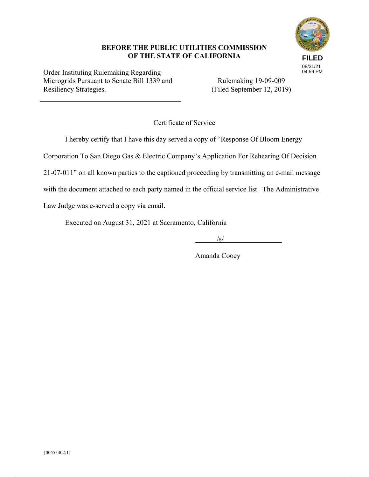# **FILED** 08/31/21 04:59 PM

## **BEFORE THE PUBLIC UTILITIES COMMISSION OF THE STATE OF CALIFORNIA**

Order Instituting Rulemaking Regarding Microgrids Pursuant to Senate Bill 1339 and Resiliency Strategies.

Rulemaking 19-09-009 (Filed September 12, 2019)

Certificate of Service

I hereby certify that I have this day served a copy of "Response Of Bloom Energy

Corporation To San Diego Gas & Electric Company's Application For Rehearing Of Decision

21-07-011" on all known parties to the captioned proceeding by transmitting an e-mail message

with the document attached to each party named in the official service list. The Administrative

Law Judge was e-served a copy via email.

Executed on August 31, 2021 at Sacramento, California

 $\frac{1}{\sqrt{S}}$ 

Amanda Cooey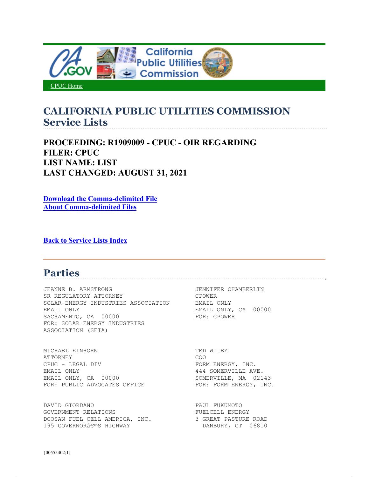

CPUC Home

## **CALIFORNIA PUBLIC UTILITIES COMMISSION Service Lists**

**PROCEEDING: R1909009 - CPUC - OIR REGARDING FILER: CPUC LIST NAME: LIST LAST CHANGED: AUGUST 31, 2021** 

**Download the Comma-delimited File About Comma-delimited Files**

**Back to Service Lists Index**

## **Parties**

JEANNE B. ARMSTRONG JENNIFER CHAMBERLIN SR REGULATORY ATTORNEY CPOWER SOLAR ENERGY INDUSTRIES ASSOCIATION EMAIL ONLY EMAIL ONLY EMAIL ONLY, CA 00000 SACRAMENTO, CA 00000 FOR: CPOWER FOR: SOLAR ENERGY INDUSTRIES ASSOCIATION (SEIA)

MICHAEL EINHORN TED WILEY ATTORNEY COO CPUC - LEGAL DIV FORM ENERGY, INC. EMAIL ONLY 444 SOMERVILLE AVE. FOR: PUBLIC ADVOCATES OFFICE FOR: FORM ENERGY, INC.

DAVID GIORDANO PAUL FUKUMOTO GOVERNMENT RELATIONS<br>DOOSAN FUEL CELL AMERICA, INC. 3 GREAT PASTURE ROAD DOOSAN FUEL CELL AMERICA, INC. 195 GOVERNOR'S HIGHWAY DANBURY, CT 06810

SOMERVILLE, MA 02143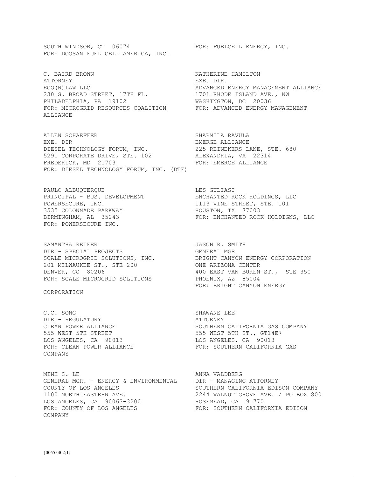SOUTH WINDSOR, CT 06074 FOR: FUELCELL ENERGY, INC. FOR: DOOSAN FUEL CELL AMERICA, INC.

C. BAIRD BROWN KATHERINE HAMILTON ATTORNEY EXE. DIR. 230 S. BROAD STREET, 17TH FL. 1701 RHODE ISLAND AVE., NW PHILADELPHIA, PA 19102 WASHINGTON, DC 20036 FOR: MICROGRID RESOURCES COALITION FOR: ADVANCED ENERGY MANAGEMENT ALLIANCE

ALLEN SCHAEFFER SHARMILA RAVULA EXE. DIR EMERGE ALLIANCE DIESEL TECHNOLOGY FORUM, INC. 225 REINEKERS LANE, STE. 680 5291 CORPORATE DRIVE, STE. 102 ALEXANDRIA, VA 22314 FREDERICK, MD 21703 FOR: EMERGE ALLIANCE FOR: DIESEL TECHNOLOGY FORUM, INC. (DTF)

PAULO ALBUQUERQUE **LES GULIASI** POWERSECURE, INC. THE STREET, STE. 101 3535 COLONNADE PARKWAY HOUSTON, TX 77003 FOR: POWERSECURE INC.

SAMANTHA REIFER **In the SEAMANTHA REIFER** SAMANTHA SAME OF THE SAMANTH DIR - SPECIAL PROJECTS GENERAL MGR 201 MILWAUKEE ST., STE 200 ONE ARIZONA CENTER FOR: SCALE MICROGRID SOLUTIONS FOR: SCALE PHOENIX, AZ 85004

CORPORATION

C.C. SONG SHAWANE LEE DIR - REGULATORY DIR - REGULATORY **ATTORNEY** 555 WEST 5TH STREET 555 WEST 5TH ST., GT14E7 LOS ANGELES, CA 90013 LOS ANGELES, CA 90013 COMPANY

MINH S. LE **ANNA VALDBERG** GENERAL MGR. - ENERGY & ENVIRONMENTAL DIR - MANAGING ATTORNEY COUNTY OF LOS ANGELES SOUTHERN CALIFORNIA EDISON COMPANY 1100 NORTH EASTERN AVE. 2244 WALNUT GROVE AVE. / PO BOX 800 LOS ANGELES, CA 90063-3200 ROSEMEAD, CA 91770 FOR: COUNTY OF LOS ANGELES FOR: SOUTHERN CALIFORNIA EDISON COMPANY

ECO(N)LAW LLC ADVANCED ENERGY MANAGEMENT ALLIANCE

PRINCIPAL - BUS. DEVELOPMENT ENCHANTED ROCK HOLDINGS, LLC BIRMINGHAM, AL 35243 FOR: ENCHANTED ROCK HOLDIGNS, LLC

SCALE MICROGRID SOLUTIONS, INC. BRIGHT CANYON ENERGY CORPORATION DENVER, CO 80206 400 EAST VAN BUREN ST., STE 350 FOR: BRIGHT CANYON ENERGY

CLEAN POWER ALLIANCE SOUTHERN CALIFORNIA GAS COMPANY FOR: CLEAN POWER ALLIANCE FOR: SOUTHERN CALIFORNIA GAS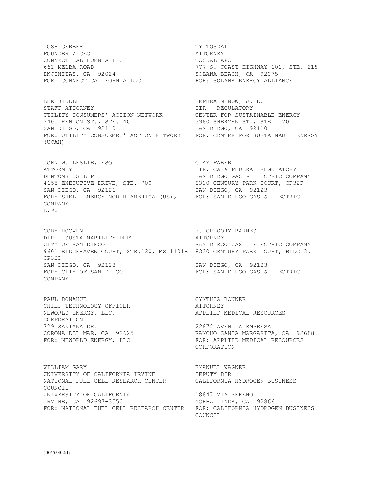JOSH GERBER TY TOSDAL FOUNDER / CEO ATTORNEY CONNECT CALIFORNIA LLC **TOSDAL** APC ENCINITAS, CA 92024 SOLANA BEACH, CA 92075

LEE BIDDLE SEPHRA NINOW, J. D. STAFF ATTORNEY **Example 20 ISSUES 2018** DIR - REGULATORY UTILITY CONSUMERS' ACTION NETWORK CENTER FOR SUSTAINABLE ENERGY 3405 KENYON ST., STE. 401 3980 SHERMAN ST., STE. 170 SAN DIEGO, CA 92110 SAN DIEGO, CA 92110 FOR: UTILITY CONSUEMRS' ACTION NETWORK FOR: CENTER FOR SUSTAINABLE ENERGY (UCAN)

JOHN W. LESLIE, ESQ. CLAY FABER ATTORNEY **DIR. CA & FEDERAL REGULATORY** DENTONS US LLP SAN DIEGO GAS & ELECTRIC COMPANY 4655 EXECUTIVE DRIVE, STE. 700 8330 CENTURY PARK COURT, CP32F SAN DIEGO, CA 92121 SAN DIEGO, CA 92123 FOR: SHELL ENERGY NORTH AMERICA (US), FOR: SAN DIEGO GAS & ELECTRIC COMPANY L.P.

CODY HOOVEN E. GREGORY BARNES DIR - SUSTAINABILITY DEPT ATTORNEY CITY OF SAN DIEGO SAN DIEGO GAS & ELECTRIC COMPANY 9601 RIDGEHAVEN COURT, STE.120, MS 1101B 8330 CENTURY PARK COURT, BLDG 3. CP32D SAN DIEGO, CA 92123 SAN DIEGO, CA 92123 FOR: CITY OF SAN DIEGO FOR: SAN DIEGO GAS & ELECTRIC COMPANY

PAUL DONAHUE CYNTHIA BONNER CHIEF TECHNOLOGY OFFICER **ATTORNEY** NEWORLD ENERGY, LLC.  $\overline{P}$  applied medical resources CORPORATION 729 SANTANA DR. 22872 AVENIDA EMPRESA

WILLIAM GARY **EMANUEL WAGNER** UNIVERSITY OF CALIFORNIA IRVINE DEPUTY DIR NATIONAL FUEL CELL RESEARCH CENTER CALIFORNIA HYDROGEN BUSINESS COUNCIL UNIVERSITY OF CALIFORNIA 18847 VIA SERENO IRVINE, CA 92697-3550 YORBA LINDA, CA 92866 FOR: NATIONAL FUEL CELL RESEARCH CENTER FOR: CALIFORNIA HYDROGEN BUSINESS

661 MELBA ROAD 777 S. COAST HIGHWAY 101, STE. 215 FOR: CONNECT CALIFORNIA LLC FOR: SOLANA ENERGY ALLIANCE

CORONA DEL MAR, CA 92625 RANCHO SANTA MARGARITA, CA 92688 FOR: NEWORLD ENERGY, LLC FOR: APPLIED MEDICAL RESOURCES CORPORATION

COUNCIL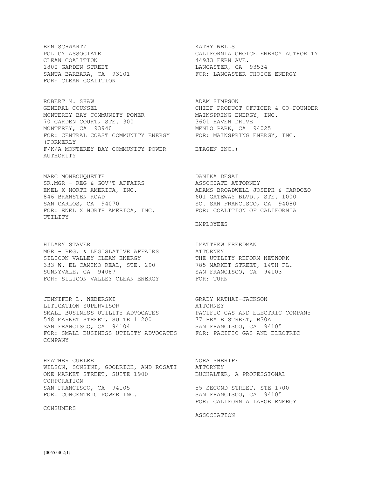BEN SCHWARTZ SALL SOM SOMETIK WELLS CLEAN COALITION 44933 FERN AVE. 1800 GARDEN STREET LANCASTER, CA 93534 FOR: CLEAN COALITION

ROBERT M. SHAW ADAM SIMPSON GENERAL COUNSEL **CHIEF PRODUCT OFFICER & CO-FOUNDER** MONTEREY BAY COMMUNITY POWER MAINSPRING ENERGY, INC. 70 GARDEN COURT, STE. 300 3601 HAVEN DRIVE MONTEREY, CA 93940 MENLO PARK, CA 94025 FOR: CENTRAL COAST COMMUNITY ENERGY FOR: MAINSPRING ENERGY, INC. (FORMERLY F/K/A MONTEREY BAY COMMUNITY POWER ETAGEN INC.) AUTHORITY

MARC MONBOUQUETTE DANIKA DESAI SR.MGR - REG & GOV'T AFFAIRS ASSOCIATE ATTORNEY 846 BRANSTEN ROAD **601 GATEWAY BLVD., STE. 1000** SAN CARLOS, CA 94070 SO. SAN FRANCISCO, CA 94080 FOR: ENEL X NORTH AMERICA, INC. FOR: COALITION OF CALIFORNIA UTILITY

HILARY STAVER **IMATTHEW FREEDMAN** MGR - REG. & LEGISLATIVE AFFAIRS ATTORNEY SILICON VALLEY CLEAN ENERGY THE UTILITY REFORM NETWORK 333 W. EL CAMINO REAL, STE. 290 785 MARKET STREET, 14TH FL. SUNNYVALE, CA 94087 SAN FRANCISCO, CA 94103 FOR: SILICON VALLEY CLEAN ENERGY FOR: TURN

JENNIFER L. WEBERSKI GRADY MATHAI-JACKSON LITIGATION SUPERVISOR GRADY ATTORNEY LITIGATION SUPERVISOR **ATTORNEY** SMALL BUSINESS UTILITY ADVOCATES PACIFIC GAS AND ELECTRIC COMPANY 548 MARKET STREET, SUITE 11200 77 BEALE STREET, B30A SAN FRANCISCO, CA 94104 SAN FRANCISCO, CA 94105 FOR: SMALL BUSINESS UTILITY ADVOCATES FOR: PACIFIC GAS AND ELECTRIC COMPANY

HEATHER CURLEE NORA SHERIFF WILSON, SONSINI, GOODRICH, AND ROSATI ATTORNEY ONE MARKET STREET, SUITE 1900 BUCHALTER, A PROFESSIONAL CORPORATION SAN FRANCISCO, CA 94105 55 SECOND STREET, STE 1700 FOR: CONCENTRIC POWER INC. SAN FRANCISCO, CA 94105

CONSUMERS

POLICY ASSOCIATE CALIFORNIA CHOICE ENERGY AUTHORITY SANTA BARBARA, CA 93101 FOR: LANCASTER CHOICE ENERGY

ENEL X NORTH AMERICA, INC. ADAMS BROADWELL JOSEPH & CARDOZO

EMPLOYEES

FOR: CALIFORNIA LARGE ENERGY

ASSOCIATION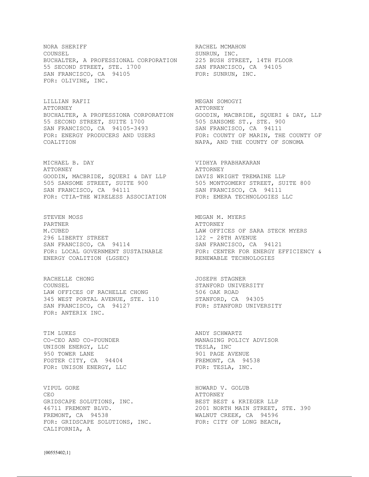NORA SHERIFF **RACHEL MCMAHON** COUNSEL SUNRUN, INC. BUCHALTER, A PROFESSIONAL CORPORATION 225 BUSH STREET, 14TH FLOOR 55 SECOND STREET, STE. 1700 SAN FRANCISCO, CA 94105 SAN FRANCISCO, CA 94105 FOR: SUNRUN, INC. FOR: OLIVINE, INC.

LILLIAN RAFII MEGAN SOMOGYI ATTORNEY THE SERIES OF THE SERIES AT A PROPERTY BUCHALTER, A PROFESSIONA CORPORATION GOODIN, MACBRIDE, SQUERI & DAY, LLP 55 SECOND STREET, SUITE 1700 505 SANSOME ST., STE. 900 SAN FRANCISCO, CA 94105-3493 SAN FRANCISCO, CA 94111 FOR: ENERGY PRODUCERS AND USERS FOR: COUNTY OF MARIN, THE COUNTY OF COALITION NAPA, AND THE COUNTY OF SONOMA

MICHAEL B. DAY VIDHYA PRABHAKARAN ATTORNEY ATTORNEY GOODIN, MACBRIDE, SQUERI & DAY LLP DAVIS WRIGHT TREMAINE LLP 505 SANSOME STREET, SUITE 900 505 MONTGOMERY STREET, SUITE 800 SAN FRANCISCO, CA 94111 SAN FRANCISCO, CA 94111 FOR: CTIA-THE WIRELESS ASSOCIATION FOR: EMERA TECHNOLOGIES LLC

STEVEN MOSS STEVEN MOSS MEGAN M. MYERS PARTNER ATTORNEY M.CUBED LAW OFFICES OF SARA STECK MYERS 296 LIBERTY STREET 122 - 28TH AVENUE SAN FRANCISCO, CA 94114 SAN FRANCISCO, CA 94121 ENERGY COALITION (LGSEC) RENEWABLE TECHNOLOGIES

RACHELLE CHONG **GEORGETH STAGNER** JOSEPH STAGNER COUNSEL STANFORD UNIVERSITY LAW OFFICES OF RACHELLE CHONG 506 OAK ROAD 345 WEST PORTAL AVENUE, STE. 110 STANFORD, CA 94305 SAN FRANCISCO, CA 94127 FOR: STANFORD UNIVERSITY FOR: ANTERIX INC.

TIM LUKES **ANDY SCHWARTZ** UNISON ENERGY, LLC TESLA, INC 950 TOWER LANE 2001 PAGE AVENUE FOSTER CITY, CA 94404 FREMONT, CA 94538 FOR: UNISON ENERGY, LLC FOR: TESLA, INC.

VIPUL GORE HOWARD V. GOLUB CEO ATTORNEY GRIDSCAPE SOLUTIONS, INC. BEST BEST & KRIEGER LLP FREMONT, CA 94538 WALNUT CREEK, CA 94596 FOR: GRIDSCAPE SOLUTIONS, INC. FOR: CITY OF LONG BEACH, CALIFORNIA, A

FOR: LOCAL GOVERNMENT SUSTAINABLE FOR: CENTER FOR ENERGY EFFICIENCY &

CO-CEO AND CO-FOUNDER MANAGING POLICY ADVISOR

46711 FREMONT BLVD. 2001 NORTH MAIN STREET, STE. 390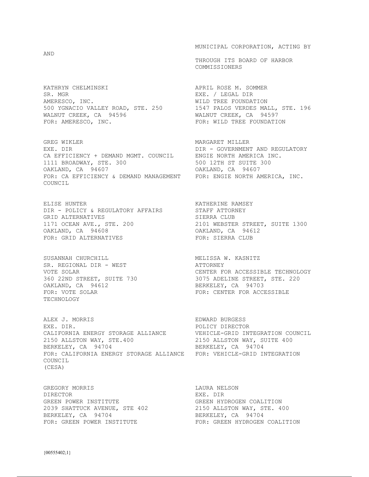AND

KATHRYN CHELMINSKI APRIL ROSE M. SOMMER SR. MGR<br>
AMERESCO, INC.<br>
AMERESCO, INC.<br>
SR. MILD TREE FOUNDATION AMERESCO, INC. THE REE ROUNDATION 500 YGNACIO VALLEY ROAD, STE. 250 1547 PALOS VERDES MALL, STE. 196 WALNUT CREEK, CA 94596 WALNUT CREEK, CA 94597 FOR: AMERESCO, INC. THE RESOLUTION FOR: WILD TREE FOUNDATION

GREG WIKLER MARGARET MILLER CA EFFICIENCY + DEMAND MGMT. COUNCIL ENGIE NORTH AMERICA INC. 1111 BROADWAY, STE. 300 500 12TH ST SUITE 300 OAKLAND, CA 94607 OAKLAND, CA 94607 FOR: CA EFFICIENCY & DEMAND MANAGEMENT FOR: ENGIE NORTH AMERICA, INC. COUNCIL

ELISE HUNTER<br>DIR – POLICY & REGULATORY AFFAIRS STAFF ATTORNEY DIR - POLICY & REGULATORY AFFAIRS GRID ALTERNATIVES SIERRA CLUB 1171 OCEAN AVE., STE. 200<br>OAKLAND CA 94608 1171 OCEAN AVE., STE. 200 2101 WEBSTER STREET, SUITE 1300 OAKLAND, CA 94612 FOR: GRID ALTERNATIVES FOR: SIERRA CLUB

SUSANNAH CHURCHILL<br>SR. REGIONAL DIR - WEST<br>MOTE SOLLE MEST SR. REGIONAL DIR - WEST ATTORNEY OAKLAND, CA 94612 BERKELEY, CA 94703 TECHNOLOGY

ALEX J. MORRIS EDWARD BURGESS EXE. DIR. POLICY DIRECTOR CALIFORNIA ENERGY STORAGE ALLIANCE VEHICLE-GRID INTEGRATION COUNCIL<br>2150 ALLSTON WAY, STE.400 2150 ALLSTON WAY, SUITE 400 2150 ALLSTON WAY, STE.400 2150 ALLSTON WAY, SUITE 400 BERKELEY, CA 94704 BERKELEY, CA 94704 FOR: CALIFORNIA ENERGY STORAGE ALLIANCE FOR: VEHICLE-GRID INTEGRATION COUNCIL (CESA)

GREGORY MORRIS LAURA NELSON DIRECTOR EXE. DIR GREEN POWER INSTITUTE GREEN HYDROGEN COALITION 2039 SHATTUCK AVENUE, STE 402 2150 ALLSTON WAY, STE. 400 BERKELEY, CA 94704 BERKELEY, CA 94704

MUNICIPAL CORPORATION, ACTING BY

 THROUGH ITS BOARD OF HARBOR COMMISSIONERS

DIR - GOVERNMENT AND REGULATORY

VOTE SOLAR CENTER FOR ACCESSIBLE TECHNOLOGY 360 22ND STREET, SUITE 730 3075 ADELINE STREET, STE. 220 FOR: VOTE SOLAR **FOR: CENTER FOR ACCESSIBLE** 

FOR: GREEN POWER INSTITUTE FOR: GREEN HYDROGEN COALITION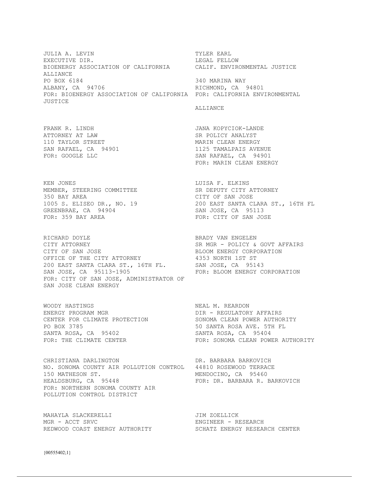JULIA A. LEVIN TYLER EARL EXECUTIVE DIR. THE SECOND DIRECT SECOND LEGAL FELLOW BIOENERGY ASSOCIATION OF CALIFORNIA CALIF. ENVIRONMENTAL JUSTICE ALLIANCE<br>PO BOX 6184 340 MARINA WAY ALBANY, CA 94706 RICHMOND, CA 94801 FOR: BIOENERGY ASSOCIATION OF CALIFORNIA FOR: CALIFORNIA ENVIRONMENTAL JUSTICE

ALLIANCE

FRANK R. LINDH JANA KOPYCIOK-LANDE ATTORNEY AT LAW SAND SR POLICY ANALYST SAND ON TAYLOR STREET SAND THE SAND MARIN CLEAN ENERGY 110 TAYLOR STREET **MARIN CLEAN ENERGY** 

KEN JONES NET REGALL THE SERVICE SERVICE SERVICE SERVICES AND LUISA F. ELKINS MEMBER, STEERING COMMITTEE SR DEPUTY CITY ATTORNEY<br>350 BAY AREA SR DEPUTY OF SAN JOSE 350 BAY AREA CITY OF SAN JOSE GREENBRAE, CA 94904 SAN JOSE, CA 95113 FOR: 359 BAY AREA FOR: CITY OF SAN JOSE

RICHARD DOYLE **BRADY VAN ENGELEN** CITY ATTORNEY GOUS SR MGR - POLICY & GOVT AFFAIRS CITY OF SAN JOSE CITY OF SAN JOSE BLOOM ENERGY CORPORATION OFFICE OF THE CITY ATTORNEY **1353 NORTH** 1ST ST 200 EAST SANTA CLARA ST., 16TH FL. SAN JOSE, CA 95143 SAN JOSE, CA 95113-1905 FOR: BLOOM ENERGY CORPORATION FOR: CITY OF SAN JOSE, ADMINISTRATOR OF SAN JOSE CLEAN ENERGY

WOODY HASTINGS<br>
ENERGY PROGRAM MGR<br>
ENERGY PROGRAM MGR<br>
NEAL DIR – REGULATORY ENERGY PROGRAM MGR<br>
DIR – REGULATORY AFFAIRS PO BOX 3785 50 SANTA ROSA AVE. 5TH FL SANTA ROSA, CA 95402 SANTA ROSA, CA 95404

CHRISTIANA DARLINGTON DR. BARBARA BARKOVICH NO. SONOMA COUNTY AIR POLLUTION CONTROL 44810 ROSEWOOD TERRACE<br>150 MATHESON ST. MENDOCINO, CA 95460 150 MATHESON ST. MENDOCINO, CA 95460 FOR: NORTHERN SONOMA COUNTY AIR POLLUTION CONTROL DISTRICT

MAHAYLA SLACKERELLI MGR - ACCT SRVC ENGINEER - RESEARCH REDWOOD COAST ENERGY AUTHORITY SCHATZ ENERGY RESEARCH CENTER

SAN RAFAEL, CA 94901 1125 TAMALPAIS AVENUE FOR: GOOGLE LLC SAN RAFAEL, CA 94901 FOR: MARIN CLEAN ENERGY

1005 S. ELISEO DR., NO. 19 200 EAST SANTA CLARA ST., 16TH FL

CENTER FOR CLIMATE PROTECTION SONOMA CLEAN POWER AUTHORITY FOR: THE CLIMATE CENTER FOR: SONOMA CLEAN POWER AUTHORITY

FOR: DR. BARBARA R. BARKOVICH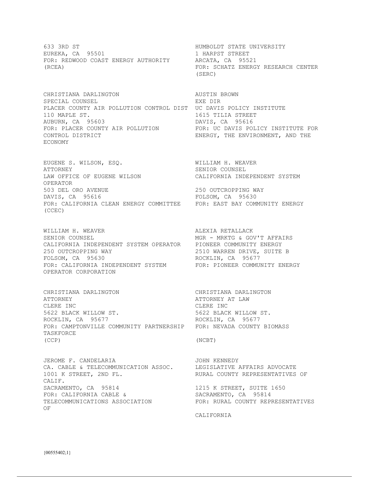633 3RD ST **HUMBOLDT STATE UNIVERSITY** EUREKA, CA 95501 1 HARPST STREET<br>FOR: REDWOOD COAST ENERGY AUTHORITY ARCATA, CA 95521 FOR: REDWOOD COAST ENERGY AUTHORITY (RCEA) FOR: SCHATZ ENERGY RESEARCH CENTER

CHRISTIANA DARLINGTON AUSTIN BROWN SPECIAL COUNSEL **EXEMPT OF SPECIAL COUNSEL** PLACER COUNTY AIR POLLUTION CONTROL DIST UC DAVIS POLICY INSTITUTE 110 MAPLE ST. 1615 TILIA STREET AUBURN, CA 95603 DAVIS, CA 95616 FOR: PLACER COUNTY AIR POLLUTION FOR: UC DAVIS POLICY INSTITUTE FOR CONTROL DISTRICT ENERGY, THE ENVIRONMENT, AND THE ECONOMY

EUGENE S. WILSON, ESQ. WILLIAM H. WEAVER ATTORNEY SENIOR COUNSEL LAW OFFICE OF EUGENE WILSON CALIFORNIA INDEPENDENT SYSTEM OPERATOR 503 DEL ORO AVENUE 250 OUTCROPPING WAY DAVIS, CA 95616 FOLSOM, CA 95630 FOR: CALIFORNIA CLEAN ENERGY COMMITTEE FOR: EAST BAY COMMUNITY ENERGY (CCEC)

WILLIAM H. WEAVER **ALEXIA RETALLACK** SENIOR COUNSEL MGR - MRKTG & GOV'T AFFAIRS CALIFORNIA INDEPENDENT SYSTEM OPERATOR PIONEER COMMUNITY ENERGY 250 OUTCROPPING WAY 2510 WARREN DRIVE, SUITE B FOR: CALIFORNIA INDEPENDENT SYSTEM FOR: PIONEER COMMUNITY ENERGY OPERATOR CORPORATION

CHRISTIANA DARLINGTON CHRISTIANA DARLINGTON ATTORNEY ATTORNEY AT LAW CLERE INC<br>
5622 BLACK WILLOW ST.<br>
5622 BLACK WILLOW ST.<br>
5622 BLACK WILLOW ST. 5622 BLACK WILLOW ST. 5622 BLACK WILLOW ST. ROCKLIN, CA 95677 ROCKLIN, CA 95677 FOR: CAMPTONVILLE COMMUNITY PARTNERSHIP FOR: NEVADA COUNTY BIOMASS TASKFORCE (CCP) (NCBT)

JEROME F. CANDELARIA JOHN KENNEDY CA. CABLE & TELECOMMUNICATION ASSOC. LEGISLATIVE AFFAIRS ADVOCATE 1001 K STREET, 2ND FL. RURAL COUNTY REPRESENTATIVES OF CALIF. SACRAMENTO, CA 95814 1215 K STREET, SUITE 1650 FOR: CALIFORNIA CABLE & SACRAMENTO, CA 95814<br>TELECOMMUNICATIONS ASSOCIATION FOR: RURAL COUNTY REPP OF

(SERC)

ROCKLIN, CA 95677

FOR: RURAL COUNTY REPRESENTATIVES

CALIFORNIA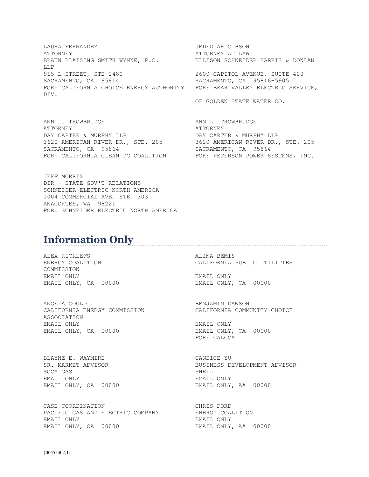LAURA FERNANDEZ JEDEDIAH GIBSON ATTORNEY ATTORNEY AT LAW BRAUN BLAISING SMITH WYNNE, P.C. ELLISON SCHNEIDER HARRIS & DONLAN LLP 915 L STREET, STE 1480 2600 CAPITOL AVENUE, SUITE 400 SACRAMENTO, CA 95814 SACRAMENTO, CA 95816-5905 FOR: CALIFORNIA CHOICE ENERGY AUTHORITY FOR: BEAR VALLEY ELECTRIC SERVICE, DIV.

ANN L. TROWBRIDGE ANN L. TROWBRIDGE ATTORNEY ATTORNEY DAY CARTER & MURPHY LLP DAY CARTER & MURPHY LLP 3620 AMERICAN RIVER DR., STE. 205 3620 AMERICAN RIVER DR., STE. 205<br>SACRAMENTO, CA 95864 SACRAMENTO, CA 95864 SACRAMENTO, CA 95864 FOR: CALIFORNIA CLEAN DG COALITION FOR: PETERSON POWER SYSTEMS, INC.

JEFF MORRIS DIR - STATE GOV'T RELATIONS SCHNEIDER ELECTRIC NORTH AMERICA 1004 COMMERCIAL AVE. STE. 303 ANACORTES, WA 98221 FOR: SCHNEIDER ELECTRIC NORTH AMERICA

## **Information Only**

ALEX RICKLEFS ALINA BEMIS COMMISSION EMAIL ONLY EMAIL ONLY EMAIL ONLY, CA 00000 EMAIL ONLY, CA 00000

ANGELA GOULD BENJAMIN DAWSON CALIFORNIA ENERGY COMMISSION CALIFORNIA COMMUNITY CHOICE ASSOCIATION EMAIL ONLY EMAIL ONLY EMAIL ONLY, CA 00000 EMAIL ONLY, CA 00000

BLAYNE E. WAYMIRE CANDICE YU<br>
SR. MARKET ADVISOR CANDICE SENSINESS DI SOCALGAS SHELL SHELL EMAIL ONLY, CA 00000 EMAIL ONLY, AA 00000

CASE COORDINATION CASE COORDINATION<br>
PACIFIC GAS AND ELECTRIC COMPANY ENERGY COALITION PACIFIC GAS AND ELECTRIC COMPANY EMAIL ONLY EMAIL ONLY EMAIL ONLY, CA 00000 EMAIL ONLY, AA 00000

OF GOLDEN STATE WATER CO.

ENERGY COALITION CALIFORNIA PUBLIC UTILITIES

FOR: CALCCA

BUSINESS DEVELOPMENT ADVISOR EMAIL ONLY EMAIL ONLY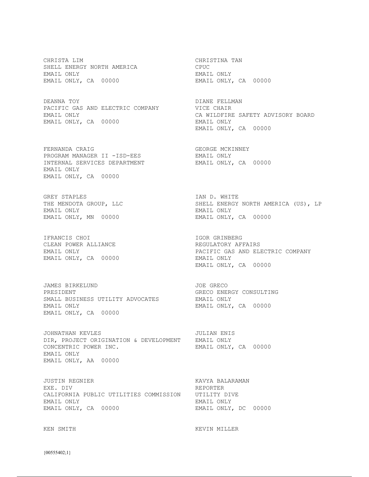CHRISTA LIM CHRISTINA TAN SHELL ENERGY NORTH AMERICA CPUC EMAIL ONLY EMAIL ONLY EMAIL ONLY, CA 00000 EMAIL ONLY, CA 00000

DEANNA TOY DIANE FELLMAN PACIFIC GAS AND ELECTRIC COMPANY VICE CHAIR EMAIL ONLY, CA 00000 EMAIL ONLY

FERNANDA CRAIG CONGERED BEORGE MCKINNEY PROGRAM MANAGER II -ISD-EES EMAIL ONLY INTERNAL SERVICES DEPARTMENT EMAIL ONLY, CA 00000 EMAIL ONLY EMAIL ONLY, CA 00000

GREY STAPLES<br>THE MENDOTA GROUP, LLC<br>THE MENDOTA GROUP, LLC<br>
SHELL ENERGY EMAIL ONLY EMAIL ONLY EMAIL ONLY, MN 00000 EMAIL ONLY, CA 00000

IFRANCIS CHOI **IGOR GRINBERG** CLEAN POWER ALLIANCE **REGULATORY AFFAIRS** EMAIL ONLY, CA 00000 EMAIL ONLY

JAMES BIRKELUND JOE GRECO PRESIDENT GRECO ENERGY CONSULTING SMALL BUSINESS UTILITY ADVOCATES EMAIL ONLY EMAIL ONLY EMAIL ONLY, CA 00000 EMAIL ONLY, CA 00000

JOHNATHAN KEVLES **JULIAN ENIS** DIR, PROJECT ORIGINATION & DEVELOPMENT EMAIL ONLY CONCENTRIC POWER INC. The email only, CA 00000 EMAIL ONLY EMAIL ONLY, AA 00000

JUSTIN REGNIER KAVYA BALARAMAN EXE. DIV REPORTER CALIFORNIA PUBLIC UTILITIES COMMISSION UTILITY DIVE EMAIL ONLY EMAIL ONLY EMAIL ONLY, CA 00000 EMAIL ONLY, DC 00000

EMAIL ONLY CA WILDFIRE SAFETY ADVISORY BOARD EMAIL ONLY, CA 00000

SHELL ENERGY NORTH AMERICA (US), LP

EMAIL ONLY PACIFIC GAS AND ELECTRIC COMPANY EMAIL ONLY, CA 00000

KEN SMITH **KEVIN MILLER**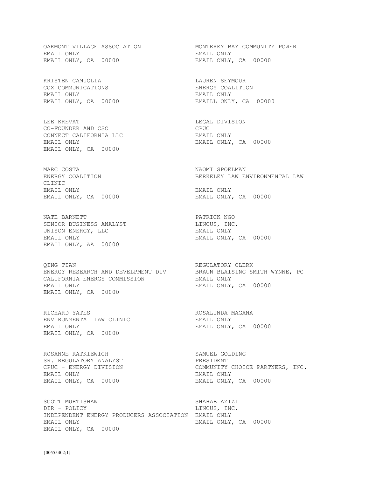EMAIL ONLY EMAIL ONLY EMAIL ONLY, CA 00000 EMAIL ONLY, CA 00000

KRISTEN CAMUGLIA 1999 - KRISTEN SEYMOUR COX COMMUNICATIONS ENERGY COALITION EMAIL ONLY EMAIL ONLY

LEE KREVAT NEGAL DIVISION CO-FOUNDER AND CSO CPUC CONNECT CALIFORNIA LLC BMAIL ONLY EMAIL ONLY EMAIL ONLY, CA 00000 EMAIL ONLY, CA 00000

MARC COSTA NAOMI SPOELMAN CLINIC EMAIL ONLY EMAIL ONLY EMAIL ONLY, CA 00000 EMAIL ONLY, CA 00000

NATE BARNETT PATRICK NGO SENIOR BUSINESS ANALYST LINCUS, INC. UNISON ENERGY, LLC BAND EMAIL ONLY EMAIL ONLY EMAIL ONLY, CA 00000 EMAIL ONLY, AA 00000

QING TIAN REGULATORY CLERK ENERGY RESEARCH AND DEVELPMENT DIV BRAUN BLAISING SMITH WYNNE, PC CALIFORNIA ENERGY COMMISSION EMAIL ONLY EMAIL ONLY **EMAIL ONLY, CA** 00000 EMAIL ONLY, CA 00000

RICHARD YATES **RICHARD STATES ROSALINDA MAGANA** ENVIRONMENTAL LAW CLINIC CONTROLLER EMAIL ONLY EMAIL ONLY EMAIL ONLY, CA 00000 EMAIL ONLY, CA 00000

ROSANNE RATKIEWICH SAMUEL GOLDING SR. REGULATORY ANALYST PRESIDENT EMAIL ONLY EMAIL ONLY

SCOTT MURTISHAW SCOTT MURTISHAW SHAHAB AZIZI DIR - POLICY LINCUS, INC. INDEPENDENT ENERGY PRODUCERS ASSOCIATION EMAIL ONLY EMAIL ONLY EMAIL ONLY, CA 00000 EMAIL ONLY, CA 00000

OAKMONT VILLAGE ASSOCIATION MONTEREY BAY COMMUNITY POWER

EMAILL ONLY, CA 00000

ENERGY COALITION BERKELEY LAW ENVIRONMENTAL LAW

CPUC - ENERGY DIVISION COMMUNITY CHOICE PARTNERS, INC.<br>EMAIL ONLY EMAIL ONLY, CA 00000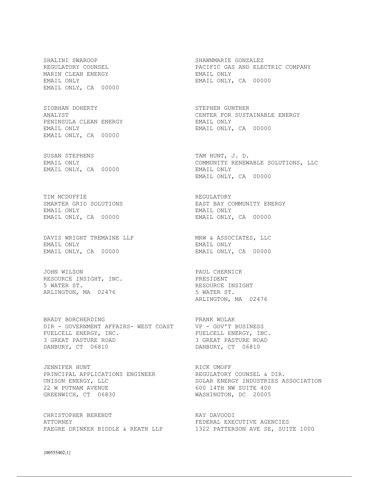SHALINI SWAROOP SHAWNMARIE GONZALEZ MARIN CLEAN ENERGY **EMAIL ONLY** EMAIL ONLY, CA 00000

SIOBHAN DOHERTY SIOBHAN GUNTHER PENINSULA CLEAN ENERGY EMAIL ONLY EMAIL ONLY EMAIL ONLY, CA 00000 EMAIL ONLY, CA 00000

SUSAN STEPHENS TAM HUNT, J. D. EMAIL ONLY, CA 00000 EMAIL ONLY

TIM MCDUFFIE **REGULATORY** EMAIL ONLY EMAIL ONLY EMAIL ONLY, CA 00000 EMAIL ONLY, CA 00000

DAVIS WRIGHT TREMAINE LLP MRW & ASSOCIATES, LLC EMAIL ONLY EMAIL ONLY EMAIL ONLY, CA 00000 EMAIL ONLY, CA 00000

JOHN WILSON PAUL CHERNICK RESOURCE INSIGHT, INC. PRESIDENT 5 WATER ST. **RESOURCE INSIGHT** ARLINGTON, MA 02476 5 WATER ST.

BRADY BORCHERDING FRANK WOLAK DIR - GOVERNMENT AFFAIRS- WEST COAST VP - GOV'T BUSINESS FUELCELL ENERGY, INC. THE REAGER PUELCELL ENERGY, INC. 3 GREAT PASTURE ROAD 3 GREAT PASTURE ROAD DANBURY, CT 06810 DANBURY, CT 06810

JENNIFER HUNT NORTH RICK UMOFF PRINCIPAL APPLICATIONS ENGINEER REGULATORY COUNSEL & DIR. 22 W PUTNAM AVENUE 100 CONSULTE 400 GREENWICH, CT 06830

CHRISTOPHER BERENDT KAY DAVOODI ATTORNEY FEDERAL EXECUTIVE AGENCIES

REGULATORY COUNSEL **Example 20** PACIFIC GAS AND ELECTRIC COMPANY EMAIL ONLY EMAIL ONLY, CA 00000

ANALYST CENTER FOR SUSTAINABLE ENERGY

EMAIL ONLY COMMUNITY RENEWABLE SOLUTIONS, LLC EMAIL ONLY, CA 00000

SMARTER GRID SOLUTIONS **EAST BAY COMMUNITY ENERGY** 

ARLINGTON, MA 02476

UNISON ENERGY, LLC SOLAR ENERGY INDUSTRIES ASSOCIATION WASHINGTON, DC 20005

FAEGRE DRINKER BIDDLE & REATH LLP 1322 PATTERSON AVE SE, SUITE 1000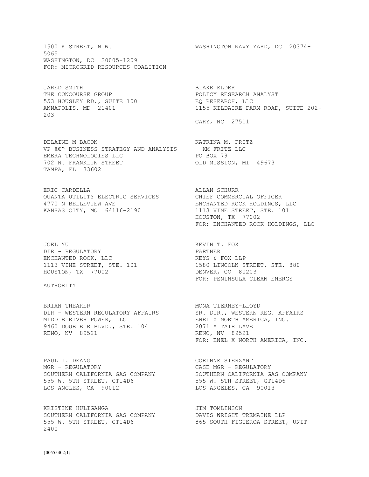1500 K STREET, N.W. WASHINGTON NAVY YARD, DC 20374- 5065 WASHINGTON, DC 20005-1209 FOR: MICROGRID RESOURCES COALITION

JARED SMITH BLAKE ELDER THE CONCOURSE GROUP<br>
553 HOUSLEY RD., SUITE 100<br>
ANNAPOLIS MD. 21401<br>
21401 553 HOUSLEY RD., SUITE 100<br>ANNAPOLIS, MD 21401  $203$ 

DELAINE M BACON<br>
VP ÂE'' BUSINESS STRATEGY AND ANALYSIS KM FRITZ LLC<br>
EMERA TECHNOLOGIES LLC<br>
702 N. FRANKLIN STREET<br>
2000 VP  $\hat{a}\in$ " BUSINESS STRATEGY AND ANALYSIS EMERA TECHNOLOGIES LLC<br>
PO BOX 79 702 N. FRANKLIN STREET OLD MISSION, MI 49673 TAMPA, FL 33602

ERIC CARDELLA **ALLAN SCHURR** QUANTA UTILITY ELECTRIC SERVICES CHIEF COMMERCIAL OFFICER 4770 N BELLEVIEW AVE ENCHANTED ROCK HOLDINGS, LLC KANSAS CITY, MO 64116-2190 1113 VINE STREET, STE. 101

JOEL YU GU GU GU GU GU GU KEVIN T. FOX DIR – REGULATORY PARTNER ENCHANTED ROCK, LLC **EXAGLE ASSESSESSES** KEYS & FOX LLP HOUSTON, TX 77002 DENVER, CO 80203

## AUTHORITY

BRIAN THEAKER MONA TIERNEY-LLOYD DIR - WESTERN REGULATORY AFFAIRS SR. DIR., WESTERN REG. AFFAIRS MIDDLE RIVER POWER, LLC THE SEREL X NORTH AMERICA, INC. 9460 DOUBLE R BLVD., STE. 104 2071 ALTAIR LAVE RENO, NV 89521 **RENO, NV 89521** 

PAUL I. DEANG **CORINNE SIERZANT** MGR - REGULATORY CASE MGR - REGULATORY SOUTHERN CALIFORNIA GAS COMPANY SOUTHERN CALIFORNIA GAS COMPANY 555 W. 5TH STREET, GT14D6 555 W. 5TH STREET, GT14D6 LOS ANGLES, CA 90012 LOS ANGELES, CA 90013

KRISTINE HULIGANGA **JIM TOMLINSON** SOUTHERN CALIFORNIA GAS COMPANY DAVIS WRIGHT TREMAINE LLP 555 W. 5TH STREET, GT14D6 865 SOUTH FIGUEROA STREET, UNIT 2400

1155 KILDAIRE FARM ROAD, SUITE 202-

CARY, NC 27511

 HOUSTON, TX 77002 FOR: ENCHANTED ROCK HOLDINGS, LLC

1113 VINE STREET, STE. 101 1580 LINCOLN STREET, STE. 880 FOR: PENINSULA CLEAN ENERGY

FOR: ENEL X NORTH AMERICA, INC.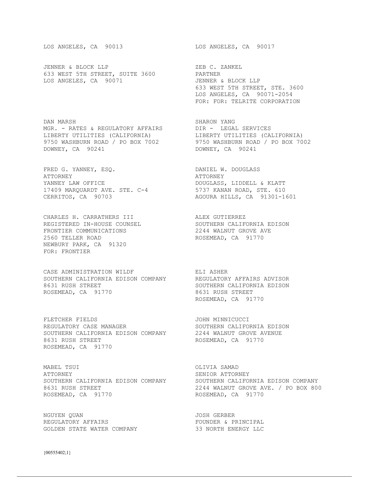JENNER & BLOCK LLP<br>
633 WEST 5TH STREET, SUITE 3600 PARTNER 633 WEST 5TH STREET, SUITE 3600 LOS ANGELES, CA 90071 JENNER & BLOCK LLP

DAN MARSH SHARON YANG MGR. - RATES & REGULATORY AFFAIRS DIR - LEGAL SERVICES LIBERTY UTILITIES (CALIFORNIA) LIBERTY UTILITIES (CALIFORNIA) 9750 WASHBURN ROAD / PO BOX 7002 9750 WASHBURN ROAD / PO BOX 7002 DOWNEY, CA 90241 DOWNEY, CA 90241

FRED G. YANNEY, ESQ. DANIEL W. DOUGLASS ATTORNEY ATTORNEY YANNEY LAW OFFICE **Example 20 Service Service** DOUGLASS, LIDDELL & KLATT 17409 MARQUARDT AVE. STE. C-4 5737 KANAN ROAD, STE. 610 CERRITOS, CA 90703 AGOURA HILLS, CA 91301-1601

CHARLES H. CARRATHERS III ALEX GUTIERREZ REGISTERED IN-HOUSE COUNSEL SOUTHERN CALIFORNIA EDISON FRONTIER COMMUNICATIONS 2244 WALNUT GROVE AVE FRONTIER COMMUNICATIONS<br>
2244 WALNUT GROVE AVE<br>
2560 TELLER ROAD

2560 TELLER ROAD

2560 TELLER NEWBURY PARK, CA 91320 FOR: FRONTIER

CASE ADMINISTRATION WILDF FILL ASHER SOUTHERN CALIFORNIA EDISON COMPANY REGULATORY AFFAIRS ADVISOR 8631 RUSH STREET SOUTHERN CALIFORNIA EDISON ROSEMEAD, CA 91770 8631 RUSH STREET

FLETCHER FIELDS **SEEMINGS** JOHN MINNICUCCI REGULATORY CASE MANAGER SOUTHERN CALIFORNIA EDISON SOUTHERN CALIFORNIA EDISON COMPANY 2244 WALNUT GROVE AVENUE 8631 RUSH STREET ROSEMEAD, CA 91770 ROSEMEAD, CA 91770

MABEL TSUI OLIVIA SAMAD ATTORNEY SENIOR ATTORNEY ROSEMEAD, CA 91770 ROSEMEAD, CA 91770

NGUYEN QUAN JOSH GERBER REGULATORY AFFAIRS FOUNDER & PRINCIPAL GOLDEN STATE WATER COMPANY 33 NORTH ENERGY LLC

LOS ANGELES, CA 90013 LOS ANGELES, CA 90017

 633 WEST 5TH STREET, STE. 3600 LOS ANGELES, CA 90071-2054 FOR: FOR: TELRITE CORPORATION

ROSEMEAD, CA 91770

SOUTHERN CALIFORNIA EDISON COMPANY SOUTHERN CALIFORNIA EDISON COMPANY 8631 RUSH STREET 2244 WALNUT GROVE AVE. / PO BOX 800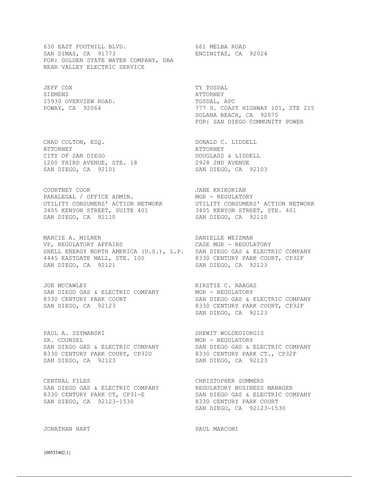630 EAST FOOTHILL BLVD. 661 MELBA ROAD SAN DIMAS, CA 91773 ENCINITAS, CA 92024 FOR: GOLDEN STATE WATER COMPANY, DBA BEAR VALLEY ELECTRIC SERVICE

JEFF COX TY TOSDAL SIEMENS ATTORNEY 15930 OVERVIEW ROAD. TOSDAL, APC

CHAD COLTON, ESQ. DONALD C. LIDDELL ATTORNEY ATTORNEY CITY OF SAN DIEGO DOUGLASS & LIDDELL 1200 THIRD AVENUE, STE. 18 2928 2ND AVENUE SAN DIEGO, CA 92101 SAN DIEGO, CA 92103

COURTNEY COOK **GEET COURTNEY** COOK PARALEGAL / OFFICE ADMIN. MGR - REGULATORY UTILITY CONSUMERS' ACTION NETWORK UTILITY CONSUMERS' ACTION NETWORK 3405 KENYON STREET, SUITE 401 3405 KENYON STREET, STE. 401 SAN DIEGO, CA 92110 SAN DIEGO, CA 92110

MARCIE A. MILNER **EXECUTE EN ELETAD DE DANIELLE WEIZMAN** VP, REGULATORY AFFAIRS CASE MGR - REGULATORY SHELL ENERGY NORTH AMERICA (U.S.), L.P. SAN DIEGO GAS & ELECTRIC COMPANY 4445 EASTGATE MALL, STE. 100 8330 CENTURY PARK COURT, CP32F SAN DIEGO, CA 92121 SAN DIEGO, CA 92123

JOE MCCAWLEY **KIRSTIE C. RAAGAS** SAN DIEGO GAS & ELECTRIC COMPANY MGR - REGULATORY

PAUL A. SZYMANSKI SHEWIT WOLDEGIORGIS SR. COUNSEL **MGR - REGULATORY** 8330 CENTURY PARK COURT, CP32D 8330 CENTURY PARK CT., CP32F SAN DIEGO, CA 92123 SAN DIEGO, CA 92123

CENTRAL FILES **CHRISTOPHER SUMMERS** SAN DIEGO GAS & ELECTRIC COMPANY **REGULATORY BUSINESS MANAGER** 8330 CENTURY PARK CT, CP31-E SAN DIEGO GAS & ELECTRIC COMPANY SAN DIEGO, CA 92123-1530 8330 CENTURY PARK COURT

POWAY, CA 92064 **120 COLLUTE:** 777 S. COAST HIGHWAY 101, STE 215 SOLANA BEACH, CA 92075 FOR: SAN DIEGO COMMUNITY POWER

8330 CENTURY PARK COURT SAN DIEGO GAS & ELECTRIC COMPANY SAN DIEGO, CA 92123 8330 CENTURY PARK COURT, CP32F SAN DIEGO, CA 92123

SAN DIEGO GAS & ELECTRIC COMPANY SAN DIEGO GAS & ELECTRIC COMPANY

SAN DIEGO, CA 92123-1530

JONATHAN HART PAUL MARCONI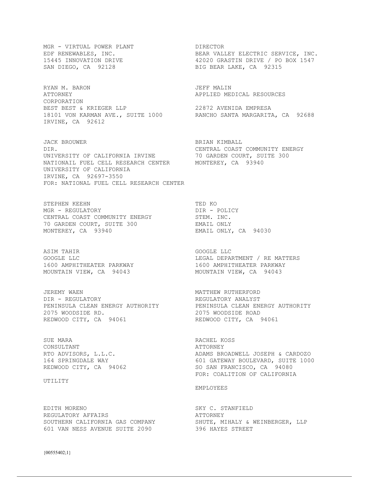MGR - VIRTUAL POWER PLANT DIRECTOR

RYAN M. BARON **JEFF MALIN** ATTORNEY APPLIED MEDICAL RESOURCES CORPORATION BEST BEST & KRIEGER LLP 22872 AVENIDA EMPRESA 18101 VON KARMAN AVE., SUITE 1000 RANCHO SANTA MARGARITA, CA 92688 IRVINE, CA 92612

JACK BROUWER BRIAN KIMBALL DIR. CENTRAL COAST COMMUNITY ENERGY UNIVERSITY OF CALIFORNIA IRVINE 70 GARDEN COURT, SUITE 300 NATIONAIL FUEL CELL RESEARCH CENTER MONTEREY, CA 93940 UNIVERSITY OF CALIFORNIA IRVINE, CA 92697-3550 FOR: NATIONAL FUEL CELL RESEARCH CENTER

STEPHEN KEEHN TED KO MGR - REGULATORY DIR - POLICY CENTRAL COAST COMMUNITY ENERGY STEM. INC. 70 GARDEN COURT, SUITE 300 EMAIL ONLY MONTEREY, CA 93940 EMAIL ONLY, CA 94030

ASIM TAHIR GOOGLE LLC MOUNTAIN VIEW, CA 94043 MOUNTAIN VIEW, CA 94043

JEREMY WAEN MATTHEW RUTHERFORD DIR - REGULATORY REGULATORY ANALYST PENINSULA CLEAN ENERGY AUTHORITY PENINSULA CLEAN ENERGY AUTHORITY 2075 WOODSIDE RD. 2075 WOODSIDE ROAD REDWOOD CITY, CA 94061 REDWOOD CITY, CA 94061

SUE MARA RACHEL KOSS CONSULTANT ATTORNEY

### UTILITY

EDITH MORENO SKY C. STANFIELD REGULATORY AFFAIRS **ALL AND ATTORNEY** 601 VAN NESS AVENUE SUITE 2090 396 HAYES STREET

EDF RENEWABLES, INC. THE REAR VALLEY ELECTRIC SERVICE, INC. 15445 INNOVATION DRIVE 42020 GRASTIN DRIVE / PO BOX 1547 SAN DIEGO, CA 92128 BIG BEAR LAKE, CA 92315

GOOGLE LLC **EXECUTE:** LEGAL DEPARTMENT / RE MATTERS 1600 AMPHITHEATER PARKWAY 1600 AMPHITHEATER PARKWAY

RTO ADVISORS, L.L.C. ADAMS BROADWELL JOSEPH & CARDOZO 164 SPRINGDALE WAY 601 GATEWAY BOULEVARD, SUITE 1000 REDWOOD CITY, CA 94062 SO SAN FRANCISCO, CA 94080 FOR: COALITION OF CALIFORNIA

### EMPLOYEES

SOUTHERN CALIFORNIA GAS COMPANY SHUTE, MIHALY & WEINBERGER, LLP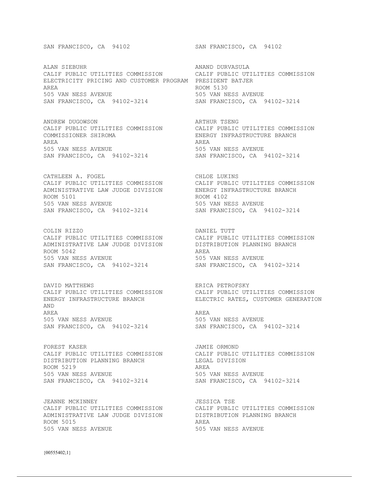ALAN SIEBUHR ANAND DURVASULA CALIF PUBLIC UTILITIES COMMISSION CALIF PUBLIC UTILITIES COMMISSION ELECTRICITY PRICING AND CUSTOMER PROGRAM PRESIDENT BATJER AREA ROOM 5130 505 VAN NESS AVENUE 505 VAN NESS AVENUE SAN FRANCISCO, CA 94102-3214 SAN FRANCISCO, CA 94102-3214

ANDREW DUGOWSON ARTHUR TSENG CALIF PUBLIC UTILITIES COMMISSION CALIF PUBLIC UTILITIES COMMISSION COMMISSIONER SHIROMA ENERGY INFRASTRUCTURE BRANCH AREA AREA 505 VAN NESS AVENUE 505 VAN NESS AVENUE SAN FRANCISCO, CA 94102-3214 SAN FRANCISCO, CA 94102-3214

CATHLEEN A. FOGEL CATHLEEN A. FOGEL ADMINISTRATIVE LAW JUDGE DIVISION ENERGY INFRASTRUCTURE BRANCH ROOM 5101 ROOM 4102 505 VAN NESS AVENUE 505 VAN NESS AVENUE

COLIN RIZZO DANIEL TUTT ADMINISTRATIVE LAW JUDGE DIVISION DISTRIBUTION PLANNING BRANCH ROOM 5042 AREA SAN FRANCISCO, CA 94102-3214

DAVID MATTHEWS ERICA PETROFSKY ENERGY INFRASTRUCTURE BRANCH ELECTRIC RATES, CUSTOMER GENERATION AND AREA AREA 505 VAN NESS AVENUE 505 VAN NESS AVENUE SAN FRANCISCO, CA 94102-3214 SAN FRANCISCO, CA 94102-3214

FOREST KASER<br>CALIF PUBLIC UTILITIES COMMISSION CALIF PUBLIC UTILITIES COMMISSION CALIF PUBLIC UTILITIES COMMISSION CALIF PUBLIC UTILITIES COMMISSION DISTRIBUTION PLANNING BRANCH LEGAL DIVISION ROOM 5219<br>505 VAN NESS AVENUE SAN FRANCISCO, CA 94102-3214

JEANNE MCKINNEY JESSICA TSE ADMINISTRATIVE LAW JUDGE DIVISION DISTRIBUTION PLANNING BRANCH ROOM 5015 AREA 505 VAN NESS AVENUE 505 VAN NESS AVENUE

SAN FRANCISCO, CA 94102 SAN FRANCISCO, CA 94102

CALIF PUBLIC UTILITIES COMMISSION CALIF PUBLIC UTILITIES COMMISSION SAN FRANCISCO, CA 94102-3214 SAN FRANCISCO, CA 94102-3214

CALIF PUBLIC UTILITIES COMMISSION CALIF PUBLIC UTILITIES COMMISSION 505 VAN NESS AVENUE<br>SAN FRANCISCO, CA 94102-3214

CALIF PUBLIC UTILITIES COMMISSION CALIF PUBLIC UTILITIES COMMISSION

505 VAN NESS AVENUE<br>SAN FRANCISCO, CA 94102-3214

CALIF PUBLIC UTILITIES COMMISSION CALIF PUBLIC UTILITIES COMMISSION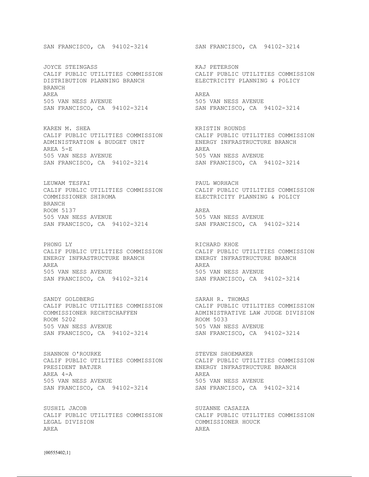JOYCE STEINGASS<br>
CALIF PUBLIC UTILITIES COMMISSION CALIF PUBLIC UTILITIES COMMISSION CALIF PUBLIC UTILITIES COMMISSION DISTRIBUTION PLANNING BRANCH ELECTRICITY PLANNING & POLICY BRANCH AREA AREA 505 VAN NESS AVENUE 505 VAN NESS AVENUE SAN FRANCISCO, CA 94102-3214 SAN FRANCISCO, CA 94102-3214

KAREN M. SHEA KRISTIN ROUNDS CALIF PUBLIC UTILITIES COMMISSION CALIF PUBLIC UTILITIES COMMISSION<br>ADMINISTRATION & BUDGET UNIT ENERGY INFRASTRUCTURE BRANCH ADMINISTRATION & BUDGET UNIT AREA 5-E AREA 505 VAN NESS AVENUE 505 VAN NESS AVENUE SAN FRANCISCO, CA 94102-3214 SAN FRANCISCO, CA 94102-3214

LEUWAM TESFAI **PAUL WORHACH** COMMISSIONER SHIROMA ELECTRICITY PLANNING & POLICY BRANCH ROOM 5137 AREA 505 VAN NESS AVENUE 505 VAN NESS AVENUE SAN FRANCISCO, CA 94102-3214 SAN FRANCISCO, CA 94102-3214

CALIF PUBLIC UTILITIES COMMISSION CALIF PUBLIC UTILITIES COMMISSION CALIF PUBLIC UTILITIES COMMISSION ENERGY INFRASTRUCTURE BRANCH ENERGY INFRASTRUCTURE BRANCH AREA AREA 505 VAN NESS AVENUE 505 VAN NESS AVENUE SAN FRANCISCO, CA 94102-3214 SAN FRANCISCO, CA 94102-3214

SANDY GOLDBERG SARAH R. THOMAS ROOM 5202 ROOM 5033 505 VAN NESS AVENUE 505 VAN NESS AVENUE SAN FRANCISCO, CA 94102-3214 SAN FRANCISCO, CA 94102-3214

SHANNON O'ROURKE SHOEMAKER SHOEMAKER PRESIDENT BATJER **ENERGY INFRASTRUCTURE BRANCH** AREA 4-A AREA 505 VAN NESS AVENUE 505 VAN NESS AVENUE SAN FRANCISCO, CA 94102-3214 SAN FRANCISCO, CA 94102-3214

SUSHIL JACOB SUZANNE CASAZZA CALIF PUBLIC UTILITIES COMMISSION CALIF PUBLIC UTILITIES COMMISSION LEGAL DIVISION COMMISSIONER HOUCK AREA AREA

SAN FRANCISCO, CA 94102-3214 SAN FRANCISCO, CA 94102-3214

CALIF PUBLIC UTILITIES COMMISSION CALIF PUBLIC UTILITIES COMMISSION

PHONG LY<br>
CALIF PUBLIC UTILITIES COMMISSION<br>
CALIF PUBLIC UTILITIES COMMISSION

CALIF PUBLIC UTILITIES COMMISSION CALIF PUBLIC UTILITIES COMMISSION COMMISSIONER RECHTSCHAFFEN ADMINISTRATIVE LAW JUDGE DIVISION

CALIF PUBLIC UTILITIES COMMISSION CALIF PUBLIC UTILITIES COMMISSION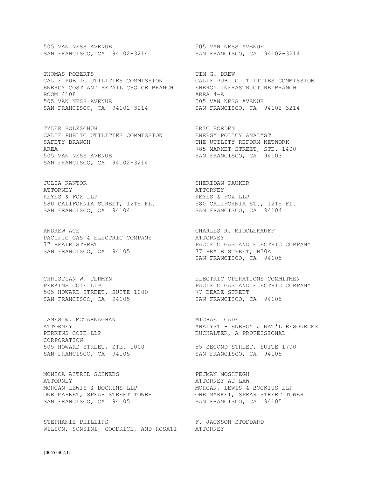505 VAN NESS AVENUE 505 VAN NESS AVENUE SAN FRANCISCO, CA 94102-3214 SAN FRANCISCO, CA 94102-3214

THOMAS ROBERTS TIM G. DREW CALIF PUBLIC UTILITIES COMMISSION CALIF PUBLIC UTILITIES COMMISSION ENERGY COST AND RETAIL CHOICE BRANCH ENERGY INFRASTRUCTURE BRANCH ROOM 4108 AREA 4-A 505 VAN NESS AVENUE 505 VAN NESS AVENUE SAN FRANCISCO, CA 94102-3214 SAN FRANCISCO, CA 94102-3214

TYLER HOLZSCHUH **ERIC BORDEN** CALIF PUBLIC UTILITIES COMMISSION ENERGY POLICY ANALYST<br>SAFETY BRANCH THE UTILITY REFORM NE AREA 785 MARKET STREET, STE. 1400 505 VAN NESS AVENUE SAN FRANCISCO, CA 94102-3214

JULIA KANTOR SHERIDAN PAUKER ATTORNEY ATTORNEY KEYES & FOX LLP KEYES & FOX LLP 580 CALIFORNIA STREET, 12TH FL. 580 CALIFORNIA ST., 12TH FL. SAN FRANCISCO, CA 94104 SAN FRANCISCO, CA 94104

ANDREW ACE CHARLES R. MIDDLEKAUFF PACIFIC GAS & ELECTRIC COMPANY **ATTORNEY** SAN FRANCISCO, CA 94105 77 BEALE STREET, B30A

505 HOWARD STREET, SUITE 1000 77 BEALE STREET SAN FRANCISCO, CA 94105 SAN FRANCISCO, CA 94105

JAMES W. MCTARNAGHAN MICHAEL CADE PERKINS COIE LLP BUCHALTER, A PROFESSIONAL CORPORATION 505 HOWARD STREET, STE. 1000 55 SECOND STREET, SUITE 1700 SAN FRANCISCO, CA 94105 SAN FRANCISCO, CA 94105

MONICA ASTRID SCHWEBS **EXAMPLE SERVICE SCHWEBS** ATTORNEY ATTORNEY AT LAW MORGAN LEWIS & BOCKINS LLP MORGAN, LEWIS & BOCKIUS LLP ONE MARKET, SPEAR STREET TOWER ONE MARKET, SPEAR STREET TOWER SAN FRANCISCO, CA 94105 SAN FRANCISCO, CA 94105

STEPHANIE PHILLIPS F. JACKSON STODDARD WILSON, SONSINI, GOODRICH, AND ROSATI ATTORNEY

THE UTILITY REFORM NETWORK

77 BEALE STREET **PACIFIC GAS AND ELECTRIC COMPANY** SAN FRANCISCO, CA 94105

CHRISTIAN W. TERMYN ELECTRIC OPERATIONS COMMITMEN PERKINS COIE LLP **PACIFIC GAS AND ELECTRIC COMPANY** 

ATTORNEY ANALYST - ENERGY & NAT'L RESOURCES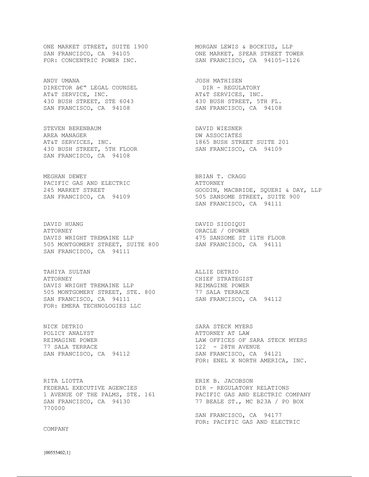ONE MARKET STREET, SUITE 1900 MORGAN LEWIS & BOCKIUS, LLP

ANDY UMANA JOSH MATHISEN DIRECTOR Â $\epsilon$ <sup>w</sup> legal counsel **being the community** dir - regulatory AT&T SERVICE, INC. AT&T SERVICES, INC. 430 BUSH STREET, STE 6043 430 BUSH STREET, 5TH FL. SAN FRANCISCO, CA 94108 SAN FRANCISCO, CA 94108

STEVEN BERENBAUM **DAVID** WIESNER AREA MANAGER DW ASSOCIATES 430 BUSH STREET, 5TH FLOOR SAN FRANCISCO, CA 94109 SAN FRANCISCO, CA 94108

MEGHAN DEWEY **BRIAN T. CRAGG** PACIFIC GAS AND ELECTRIC GAS AND ATTORNEY<br>245 MARKET STREET (GOODIN, N

DAVID HUANG DAVID SIDDIQUI ATTORNEY CONSERVATION CONSERVATIONS ORACLE A SUMMER DAVIS WRIGHT TREMAINE LLP 475 SANSOME ST 11TH FLOOR 505 MONTGOMERY STREET, SUITE 800 SAN FRANCISCO, CA 94111 SAN FRANCISCO, CA 94111

TAHIYA SULTAN ALLIE DETRIO ATTORNEY CHIEF STRATEGIST DAVIS WRIGHT TREMAINE LLP **REIMAGINE POWER** 505 MONTGOMERY STREET, STE. 800 77 SALA TERRACE SAN FRANCISCO, CA 94111 SAN FRANCISCO, CA 94112 FOR: EMERA TECHNOLOGIES LLC

NICK DETRIO SARA STECK MYERS POLICY ANALYST CONTROLL TO THE POLICY AND ATTORNEY AT LAW REIMAGINE POWER 77 SALA TERRACE 122 - 28TH AVENUE

RITA LIOTTA **ERIK B. JACOBSON** FEDERAL EXECUTIVE AGENCIES DIR - REGULATORY RELATIONS SAN FRANCISCO, CA 94130 77 BEALE ST., MC B23A / PO BOX 770000

### COMPANY

SAN FRANCISCO, CA 94105 **ONE MARKET, SPEAR STREET TOWER** FOR: CONCENTRIC POWER INC. SAN FRANCISCO, CA 94105-1126

AT&T SERVICES, INC. 1865 BUSH STREET SUITE 201

GOODIN, MACBRIDE, SQUERI & DAY, LLP<br>505 SANSOME STREET, SUITE 900 SAN FRANCISCO, CA 94109 505 SANSOME STREET, SUITE 900 SAN FRANCISCO, CA 94111

LAW OFFICES OF SARA STECK MYERS SAN FRANCISCO, CA 94112 SAN FRANCISCO, CA 94121 FOR: ENEL X NORTH AMERICA, INC.

1 AVENUE OF THE PALMS, STE. 161 PACIFIC GAS AND ELECTRIC COMPANY

 SAN FRANCISCO, CA 94177 FOR: PACIFIC GAS AND ELECTRIC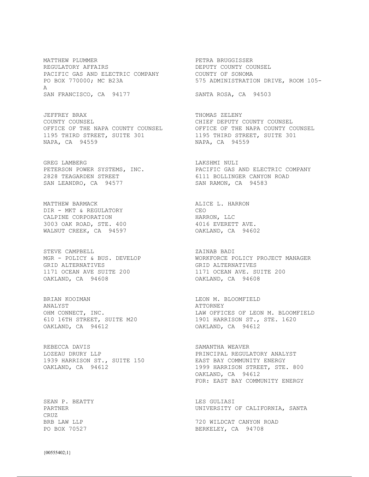MATTHEW PLUMMER **EXECUTES EXECUTES A** PETRA BRUGGISSER REGULATORY AFFAIRS **Example 20 SECULATORY AREGULATORY** AFFAIRS PACIFIC GAS AND ELECTRIC COMPANY COUNTY OF SONOMA PO BOX 770000; MC B23A 575 ADMINISTRATION DRIVE, ROOM 105-A SAN FRANCISCO, CA 94177 SANTA ROSA, CA 94503

JEFFREY BRAX THOMAS ZELENY COUNTY COUNSEL CHIEF DEPUTY COUNTY COUNSEL OFFICE OF THE NAPA COUNTY COUNSEL OFFICE OF THE NAPA COUNTY COUNSEL 1195 THIRD STREET, SUITE 301 1195 THIRD STREET, SUITE 301 NAPA, CA 94559 NAPA, CA 94559

PETERSON POWER SYSTEMS, INC. 2828 TEAGARDEN STREET 6111 BOLLINGER CANYON ROAD SAN LEANDRO, CA 94577 SAN RAMON, CA 94583

MATTHEW BARMACK **ALICE L. HARRON** DIR - MKT & REGULATORY CEO CALPINE CORPORATION **EXECUTABLE 10** HARRON, LLC 3003 OAK ROAD, STE. 400 4016 EVERETT AVE. WALNUT CREEK, CA 94597 OAKLAND, CA 94602

MGR - POLICY & BUS. DEVELOP GRID ALTERNATIVES GRID ALTERNATIVES 1171 OCEAN AVE SUITE 200 1171 OCEAN AVE. SUITE 200 OAKLAND, CA 94608 OAKLAND, CA 94608

BRIAN KOOIMAN LEON M. BLOOMFIELD ANALYST ATTORNEY 610 16TH STREET, SUITE M20 OAKLAND, CA 94612 OAKLAND, CA 94612

REBECCA DAVIS SAMANTHA WEAVER LOZEAU DRURY LLP PRINCIPAL REGULATORY ANALYST 1939 HARRISON ST., SUITE 150 EAST BAY COMMUNITY ENERGY

SEAN P. BEATTY LES GULIASI CRUZ

GREG LAMBERG<br>
PETERSON POWER SYSTEMS, INC.<br>
PACIFIC GAS AND ELECTRIC COMPANY

STEVE CAMPBELL ZAINAB BADI

OHM CONNECT, INC.<br>
610 16TH STREET, SUITE M20 1901 HARRISON ST., STE. 1620

OAKLAND, CA 94612 1999 HARRISON STREET, STE. 800 OAKLAND, CA 94612 FOR: EAST BAY COMMUNITY ENERGY

PARTNER **PARTNER EXAMPLE 2018 THE UNIVERSITY OF CALIFORNIA, SANTA** 

BRB LAW LLP 720 WILDCAT CANYON ROAD BERKELEY, CA 94708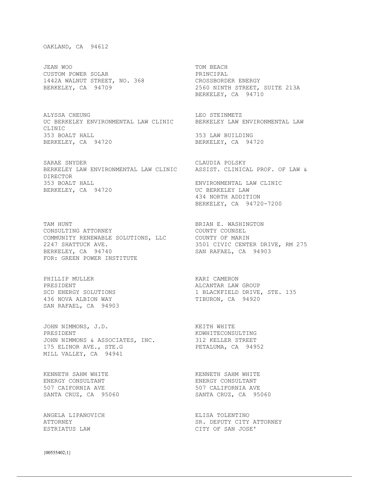## OAKLAND, CA 94612

JEAN WOO TOM BEACH CUSTOM POWER SOLAR PRINCIPAL 1442A WALNUT STREET, NO. 368 CROSSBORDER ENERGY

ALYSSA CHEUNG LEO STEINMETZ UC BERKELEY ENVIRONMENTAL LAW CLINIC BERKELEY LAW ENVIRONMENTAL LAW CLINIC 353 BOALT HALL 353 LAW BUILDING<br>BERKELEY, CA 94720 BERKELEY, CA 94720 BERKELEY, CA 94720

SARAE SNYDER CLAUDIA POLSKY BERKELEY LAW ENVIRONMENTAL LAW CLINIC ASSIST. CLINICAL PROF. OF LAW & DIRECTOR 353 BOALT HALL ENVIRONMENTAL LAW CLINIC BERKELEY, CA 94720 UC BERKELEY LAW

TAM HUNT **BRIAN E. WASHINGTON** CONSULTING ATTORNEY COUNTY COUNSEL COMMUNITY RENEWABLE SOLUTIONS, LLC COUNTY OF MARIN 2247 SHATTUCK AVE. 3501 CIVIC CENTER DRIVE, RM 275 BERKELEY, CA 94740 SAN RAFAEL, CA 94903 FOR: GREEN POWER INSTITUTE

PHILLIP MULLER SANTA CAMERON NARI CAMERON PRESIDENT ALCANTAR LAW GROUP ACCOMPTERS SUBSERVES SUBSERVES SUBSERVES SUBSERVES SUBSERVES THEORON, CA 94920 SAN RAFAEL, CA 94903

JOHN NIMMONS, J.D. KEITH WHITE PRESIDENT  $\blacksquare$ JOHN NIMMONS & ASSOCIATES, INC. 312 KELLER STREET 175 ELINOR AVE., STE.G PETALUMA, CA 94952 MILL VALLEY, CA 94941

KENNETH SAHM WHITE **KENNETH SAHM WHITE SAHM WHITE** ENERGY CONSULTANT SANTA CRUZ, CA 95060

ANGELA LIPANOVICH ELISA TOLENTINO

BERKELEY, CA 94709 2560 NINTH STREET, SUITE 213A BERKELEY, CA 94710 434 NORTH ADDITION BERKELEY, CA 94720-7200

1 BLACKFIELD DRIVE, STE. 135

ENERGY CONSULTANT ENERGY CONSULTANT 507 CAIFORNIA AVE 507 CALIFORNIA AVE

ATTORNEY SR. DEPUTY CITY ATTORNEY ESTRIATUS LAW CITY OF SAN JOSE'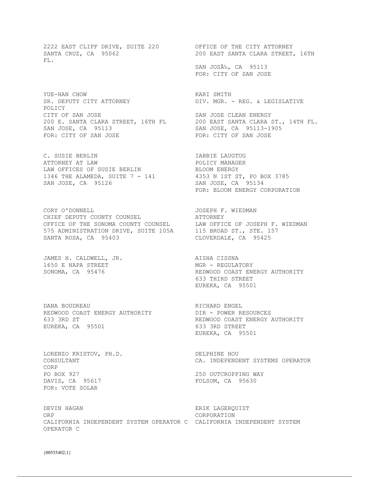2222 EAST CLIFF DRIVE, SUITE 220 OFFICE OF THE CITY ATTORNEY FL.

YUE-HAN CHOW KARI SMITH POLICY CITY OF SAN JOSE SAN JOSE CLEAN ENERGY 200 E. SANTA CLARA STREET, 16TH FL 200 EAST SANTA CLARA ST., 14TH FL. SAN JOSE, CA 95113 SAN JOSE, CA 95113-1905 FOR: CITY OF SAN JOSE TOR: CITY OF SAN JOSE

C. SUSIE BERLIN IABBIE LAUGTUG ATTORNEY AT LAW **Example 2018** POLICY MANAGER LAW OFFICES OF SUSIE BERLIN BLOOM ENERGY 1346 THE ALAMEDA, SUITE 7 - 141 4353 N 1ST ST, PO BOX 3785 SAN JOSE, CA 95126 SAN JOSE, CA 95134

CORY O'DONNELL **GALLACH CORY O'DONNELL** CHIEF DEPUTY COUNTY COUNSEL **ATTORNEY** OFFICE OF THE SONOMA COUNTY COUNSEL LAW OFFICE OF JOSEPH F. WIEDMAN 575 ADMINISTRATION DRIVE, SUITE 105A 115 BROAD ST., STE. 157 SANTA ROSA, CA 95403 CLOVERDALE, CA 95425

JAMES H. CALDWELL, JR. AISHA CISSNA 1650 E NAPA STREET MGR - REGULATORY

DANA BOUDREAU **RICHARD ENGEL** REDWOOD COAST ENERGY AUTHORITY DIR - POWER RESOURCES 633 3RD ST REDWOOD COAST ENERGY AUTHORITY EUREKA, CA 95501 633 3RD STREET

LORENZO KRISTOV, PH.D. DELPHINE HOU CORP<br>PO BOX 927 PO BOX 927 250 OUTCROPPING WAY<br>
DAVIS, CA 95617 250 250 2630 2630 FOR: VOTE SOLAR

DEVIN HAGAN ERIK LAGERQUIST ORP CORPORATION CALIFORNIA INDEPENDENT SYSTEM OPERATOR C CALIFORNIA INDEPENDENT SYSTEM OPERATOR C

SANTA CRUZ, CA 95062 200 EAST SANTA CLARA STREET, 16TH

SAN JOSÉ, CA 95113 FOR: CITY OF SAN JOSE

DIV. MGR. - REG. & LEGISLATIVE

FOR: BLOOM ENERGY CORPORATION

SONOMA, CA 95476 REDWOOD COAST ENERGY AUTHORITY 633 THIRD STREET EUREKA, CA 95501

EUREKA, CA 95501

CONSULTANT CA. INDEPENDENT SYSTEMS OPERATOR

FOLSOM, CA 95630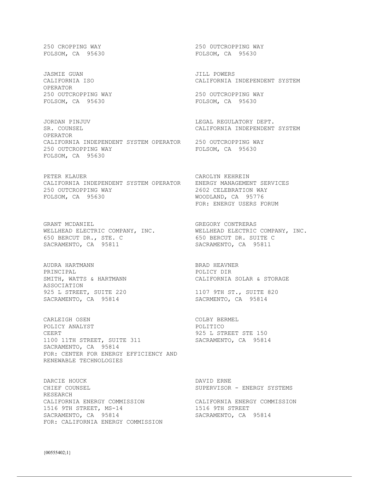{00555402;1}

FOLSOM, CA 95630 FOLSOM, CA 95630

JASMIE GUAN JILL POWERS OPERATOR 250 OUTCROPPING WAY 250 OUTCROPPING WAY 250 OUTCROPPING WAY 250 OUTCROPPING WAY

JORDAN PINJUV LEGAL REGULATORY DEPT. SR. COUNSEL CALIFORNIA INDEPENDENT SYSTEM OPERATOR CALIFORNIA INDEPENDENT SYSTEM OPERATOR 250 OUTCROPPING WAY<br>250 OUTCROPPING WAY FOLSOM, CA 95630 250 OUTCROPPING WAY FOLSOM, CA 95630

PETER KLAUER CAROLYN KEHREIN CALIFORNIA INDEPENDENT SYSTEM OPERATOR ENERGY MANAGEMENT SERVICES 250 OUTCROPPING WAY  $2602$  CELEBRATION WAY FOLSOM, CA 95776

GRANT MCDANIEL **GREGORY CONTRERAS** WELLHEAD ELECTRIC COMPANY, INC. WELLHEAD ELECTRIC COMPANY, INC. 650 BERCUT DR., STE. C 650 BERCUT DR. SUITE C SACRAMENTO, CA 95811 SACRAMENTO, CA 95811

AUDRA HARTMANN BRAD HEAVNER PRINCIPAL POLICY DIR ASSOCIATION ASSOCIATION<br>925 L STREET, SUITE 220 1107 9TH ST., SUITE 820<br>SACRAMENTO, CA 95814 5ACRMENTO, CA 95814 SACRAMENTO, CA 95814

CARLEIGH OSEN COLBY BERMEL POLICY ANALYST **POLICY POLICY** CEERT CEERT CEERT ALL CEERT STE 150 1100 11TH STREET, SUITE 311 SACRAMENTO, CA 95814 SACRAMENTO, CA 95814 FOR: CENTER FOR ENERGY EFFICIENCY AND RENEWABLE TECHNOLOGIES

DARCIE HOUCK DAVID ERNE CHIEF COUNSEL SUPERVISOR - ENERGY SYSTEMS RESEARCH CALIFORNIA ENERGY COMMISSION CALIFORNIA ENERGY COMMISSION 1516 9TH STREET, MS-14 1516 9TH STREET SACRAMENTO, CA 95814 SACRAMENTO, CA 95814 FOR: CALIFORNIA ENERGY COMMISSION

250 CROPPING WAY 250 0UTCROPPING WAY

CALIFORNIA ISO CALIFORNIA INDEPENDENT SYSTEM

FOLSOM, CA 95630

WOODLAND, CA 95776 FOR: ENERGY USERS FORUM

SMITH, WATTS & HARTMANN **Example 20 CALIFORNIA SOLAR & STORAGE**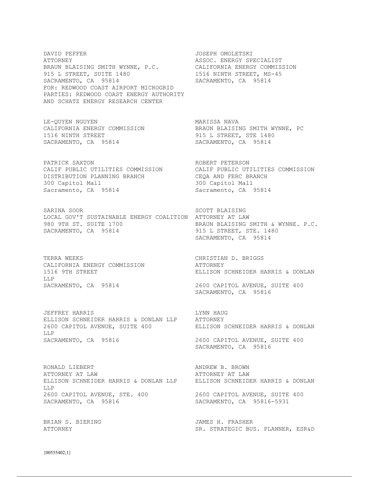DAVID PEFFER JOSEPH OMOLETSKI ATTORNEY ASSOC. ENERGY SPECIALIST BRAUN BLAISING SMITH WYNNE, P.C. CALIFORNIA ENERGY COMMISSION 915 L STREET, SUITE 1480 1516 NINTH STREET, MS-45 SACRAMENTO, CA 95814 SACRAMENTO, CA 95814 FOR: REDWOOD COAST AIRPORT MICROGRID PARTIES: REDWOOD COAST ENERGY AUTHORITY AND SCHATZ ENERGY RESEARCH CENTER

LE-QUYEN NGUYEN MARISSA NAVA 1516 NINTH STREET 915 L STREET, STE 1480 SACRAMENTO, CA 95814 SACRAMENTO, CA 95814

PATRICK SAXTON **ROBERT PETERSON** DISTRIBUTION PLANNING BRANCH CEQA AND FERC BRANCH 300 Capitol Mall 300 Capitol Mall Sacramento, CA 95814 Sacramento, CA 95814

SARINA SOOR SARINA SOOR SCOTT BLAISING LOCAL GOV'T SUSTAINABLE ENERGY COALITION ATTORNEY AT LAW 980 9TH ST. SUITE 1700 BRAUN BLAISING SMITH & WYNNE. P.C. SACRAMENTO, CA 95814 915 STREET, STE. 1480

TERRA WEEKS **CHRISTIAN D. BRIGGS** CALIFORNIA ENERGY COMMISSION ATTORNEY LLP<br>SACRAMENTO, CA 95814

JEFFREY HARRIS LYNN HAUG ELLISON SCHNEIDER HARRIS & DONLAN LLP ATTORNEY 2600 CAPITOL AVENUE, SUITE 400 ELLISON SCHNEIDER HARRIS & DONLAN LLP SACRAMENTO, CA 95816 2600 CAPITOL AVENUE, SUITE 400

RONALD LIEBERT **ANDREW B. BROWN** ATTORNEY AT LAW ATTORNEY AT LAW ELLISON SCHNEIDER HARRIS & DONLAN LLP LLP 2600 CAPITOL AVENUE, STE. 400 2600 CAPITOL AVENUE, SUITE 400 SACRAMENTO, CA 95816 SACRAMENTO, CA 95816-5931

BRIAN S. BIERING JAMES H. FRASHER

CALIFORNIA ENERGY COMMISSION BRAUN BLAISING SMITH WYNNE, PC

CALIF PUBLIC UTILITIES COMMISSION CALIF PUBLIC UTILITIES COMMISSION

SACRAMENTO, CA 95814

1516 9TH STREET ELLISON SCHNEIDER HARRIS & DONLAN

2600 CAPITOL AVENUE, SUITE 400 SACRAMENTO, CA 95816

SACRAMENTO, CA 95816

ATTORNEY SR. STRATEGIC BUS. PLANNER, ESR&D